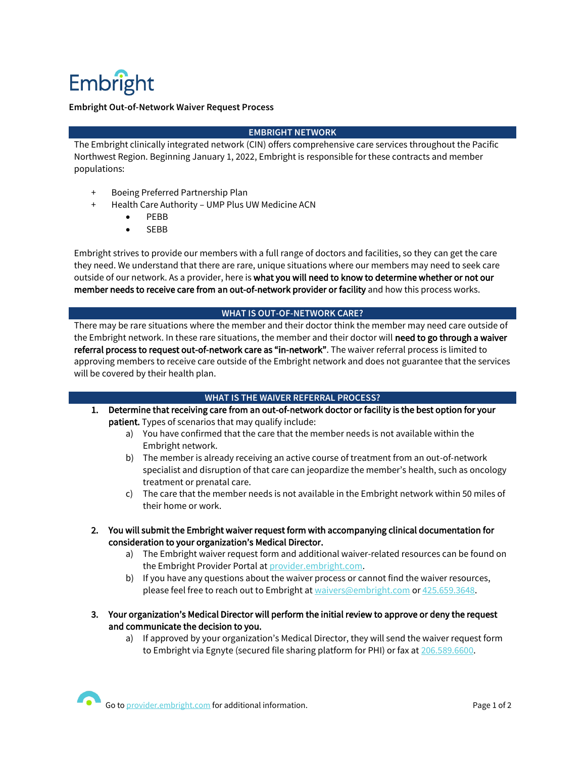# Embright

## **Embright Out-of-Network Waiver Request Process**

## **EMBRIGHT NETWORK**

The Embright clinically integrated network (CIN) offers comprehensive care services throughout the Pacific Northwest Region. Beginning January 1, 2022, Embright is responsible for these contracts and member populations:

- + Boeing Preferred Partnership Plan
- + Health Care Authority UMP Plus UW Medicine ACN
	- PEBB
	- SEBB

Embright strives to provide our members with a full range of doctors and facilities, so they can get the care they need. We understand that there are rare, unique situations where our members may need to seek care outside of our network. As a provider, here is what you will need to know to determine whether or not our member needs to receive care from an out-of-network provider or facility and how this process works.

#### **WHAT IS OUT-OF-NETWORK CARE?**

There may be rare situations where the member and their doctor think the member may need care outside of the Embright network. In these rare situations, the member and their doctor will need to go through a waiver referral process to request out-of-network care as "in-network". The waiver referral process is limited to approving members to receive care outside of the Embright network and does not guarantee that the services will be covered by their health plan.

## **WHAT IS THE WAIVER REFERRAL PROCESS?**

- 1. Determine that receiving care from an out-of-network doctor or facility is the best option for your patient. Types of scenarios that may qualify include:
	- a) You have confirmed that the care that the member needs is not available within the Embright network.
	- b) The member is already receiving an active course of treatment from an out-of-network specialist and disruption of that care can jeopardize the member's health, such as oncology treatment or prenatal care.
	- c) The care that the member needs is not available in the Embright network within 50 miles of their home or work.
- 2. You will submit the Embright waiver request form with accompanying clinical documentation for consideration to your organization's Medical Director.
	- a) The Embright waiver request form and additional waiver-related resources can be found on the Embright Provider Portal a[t provider.embright.com.](https://provider.embright.com/)
	- b) If you have any questions about the waiver process or cannot find the waiver resources, please feel free to reach out to Embright at [waivers@embright.com](mailto:waivers@embright.com) o[r 425.659.3648.](tel:4256593648)
- 3. Your organization's Medical Director will perform the initial review to approve or deny the request and communicate the decision to you.
	- a) If approved by your organization's Medical Director, they will send the waiver request form to Embright via Egnyte (secured file sharing platform for PHI) or fax a[t 206.589.6600.](tel:2065896600)